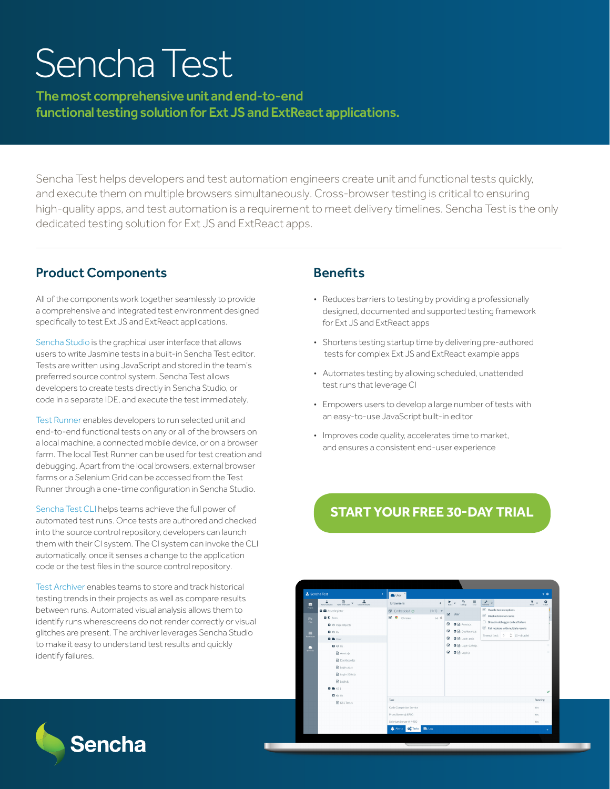# Sencha Test

The most comprehensive unit and end-to-end functional testing solution for Ext JS and ExtReact applications.

Sencha Test helps developers and test automation engineers create unit and functional tests quickly, and execute them on multiple browsers simultaneously. Cross-browser testing is critical to ensuring high-quality apps, and test automation is a requirement to meet delivery timelines. Sencha Test is the only dedicated testing solution for Ext JS and ExtReact apps.

## Product Components **Benefits**

All of the components work together seamlessly to provide a comprehensive and integrated test environment designed specifically to test Ext JS and ExtReact applications.

Sencha Studio is the graphical user interface that allows users to write Jasmine tests in a built-in Sencha Test editor. Tests are written using JavaScript and stored in the team's preferred source control system. Sencha Test allows developers to create tests directly in Sencha Studio, or code in a separate IDE, and execute the test immediately.

Test Runner enables developers to run selected unit and end-to-end functional tests on any or all of the browsers on a local machine, a connected mobile device, or on a browser farm. The local Test Runner can be used for test creation and debugging. Apart from the local browsers, external browser farms or a Selenium Grid can be accessed from the Test Runner through a one-time configuration in Sencha Studio.

Sencha Test CLI helps teams achieve the full power of automated test runs. Once tests are authored and checked into the source control repository, developers can launch them with their CI system. The CI system can invoke the CLI automatically, once it senses a change to the application code or the test files in the source control repository.

Test Archiver enables teams to store and track historical testing trends in their projects as well as compare results between runs. Automated visual analysis allows them to identify runs wherescreens do not render correctly or visual glitches are present. The archiver leverages Sencha Studio to make it easy to understand test results and quickly identify failures.

- Reduces barriers to testing by providing a professionally designed, documented and supported testing framework for Ext JS and ExtReact apps
- Shortens testing startup time by delivering pre-authored tests for complex Ext JS and ExtReact example apps
- Automates testing by allowing scheduled, unattended test runs that leverage CI
- Empowers users to develop a large number of tests with an easy-to-use JavaScript built-in editor
- Improves code quality, accelerates time to market, and ensures a consistent end-user experience

## CTADT VOLID EDEE 70-DAV TOLAL free 30-day trial of Sencha Test. **[START YOUR FREE 30-DAY TRIAL](https://www.sencha.com/products/test/evaluate/)**